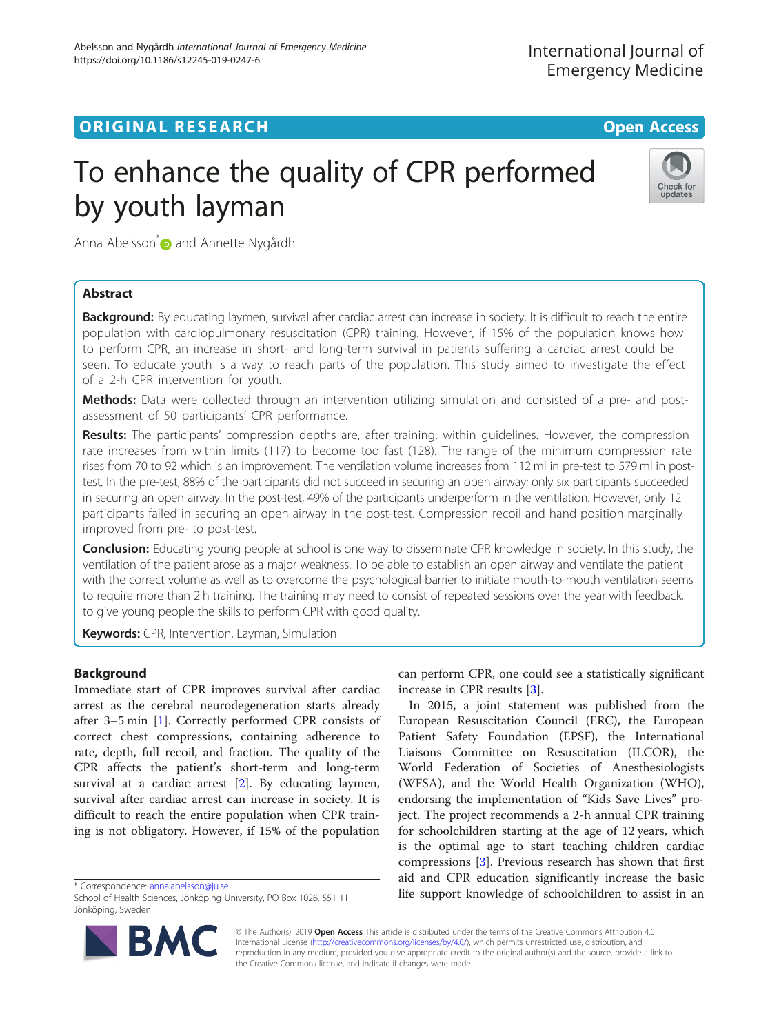## **ORIGINAL RESEARCH CONFIDENTIAL CONFIDENTIAL CONFIDENTIAL CONFIDENTIAL CONFIDENTIAL CONFIDENTIAL CONFIDENTIAL CONFIDENTIAL CONFIDENTIAL CONFIDENTIAL CONFIDENTIAL CONFIDENTIAL CONFIDENTIAL CONFIDENTIAL CONFIDENTIAL CONFIDEN**

# To enhance the quality of CPR performed by youth layman



Anna Abelsson<sup>[\\*](http://orcid.org/0000-0002-1641-6321)</sup> and Annette Nygårdh

## Abstract

**Background:** By educating laymen, survival after cardiac arrest can increase in society. It is difficult to reach the entire population with cardiopulmonary resuscitation (CPR) training. However, if 15% of the population knows how to perform CPR, an increase in short- and long-term survival in patients suffering a cardiac arrest could be seen. To educate youth is a way to reach parts of the population. This study aimed to investigate the effect of a 2-h CPR intervention for youth.

Methods: Data were collected through an intervention utilizing simulation and consisted of a pre- and postassessment of 50 participants' CPR performance.

Results: The participants' compression depths are, after training, within quidelines. However, the compression rate increases from within limits (117) to become too fast (128). The range of the minimum compression rate rises from 70 to 92 which is an improvement. The ventilation volume increases from 112 ml in pre-test to 579 ml in posttest. In the pre-test, 88% of the participants did not succeed in securing an open airway; only six participants succeeded in securing an open airway. In the post-test, 49% of the participants underperform in the ventilation. However, only 12 participants failed in securing an open airway in the post-test. Compression recoil and hand position marginally improved from pre- to post-test.

Conclusion: Educating young people at school is one way to disseminate CPR knowledge in society. In this study, the ventilation of the patient arose as a major weakness. To be able to establish an open airway and ventilate the patient with the correct volume as well as to overcome the psychological barrier to initiate mouth-to-mouth ventilation seems to require more than 2 h training. The training may need to consist of repeated sessions over the year with feedback, to give young people the skills to perform CPR with good quality.

Keywords: CPR, Intervention, Layman, Simulation

## Background

Immediate start of CPR improves survival after cardiac arrest as the cerebral neurodegeneration starts already after 3–5 min [[1](#page-4-0)]. Correctly performed CPR consists of correct chest compressions, containing adherence to rate, depth, full recoil, and fraction. The quality of the CPR affects the patient's short-term and long-term survival at a cardiac arrest [[2\]](#page-4-0). By educating laymen, survival after cardiac arrest can increase in society. It is difficult to reach the entire population when CPR training is not obligatory. However, if 15% of the population

\* Correspondence: [anna.abelsson@ju.se](mailto:anna.abelsson@ju.se)

School of Health Sciences, Jönköping University, PO Box 1026, 551 11 Jönköping, Sweden



can perform CPR, one could see a statistically significant increase in CPR results [[3](#page-4-0)].

In 2015, a joint statement was published from the European Resuscitation Council (ERC), the European Patient Safety Foundation (EPSF), the International Liaisons Committee on Resuscitation (ILCOR), the World Federation of Societies of Anesthesiologists (WFSA), and the World Health Organization (WHO), endorsing the implementation of "Kids Save Lives" project. The project recommends a 2-h annual CPR training for schoolchildren starting at the age of 12 years, which is the optimal age to start teaching children cardiac compressions [[3\]](#page-4-0). Previous research has shown that first aid and CPR education significantly increase the basic life support knowledge of schoolchildren to assist in an

© The Author(s). 2019 **Open Access** This article is distributed under the terms of the Creative Commons Attribution 4.0 International License [\(http://creativecommons.org/licenses/by/4.0/](http://creativecommons.org/licenses/by/4.0/)), which permits unrestricted use, distribution, and reproduction in any medium, provided you give appropriate credit to the original author(s) and the source, provide a link to the Creative Commons license, and indicate if changes were made.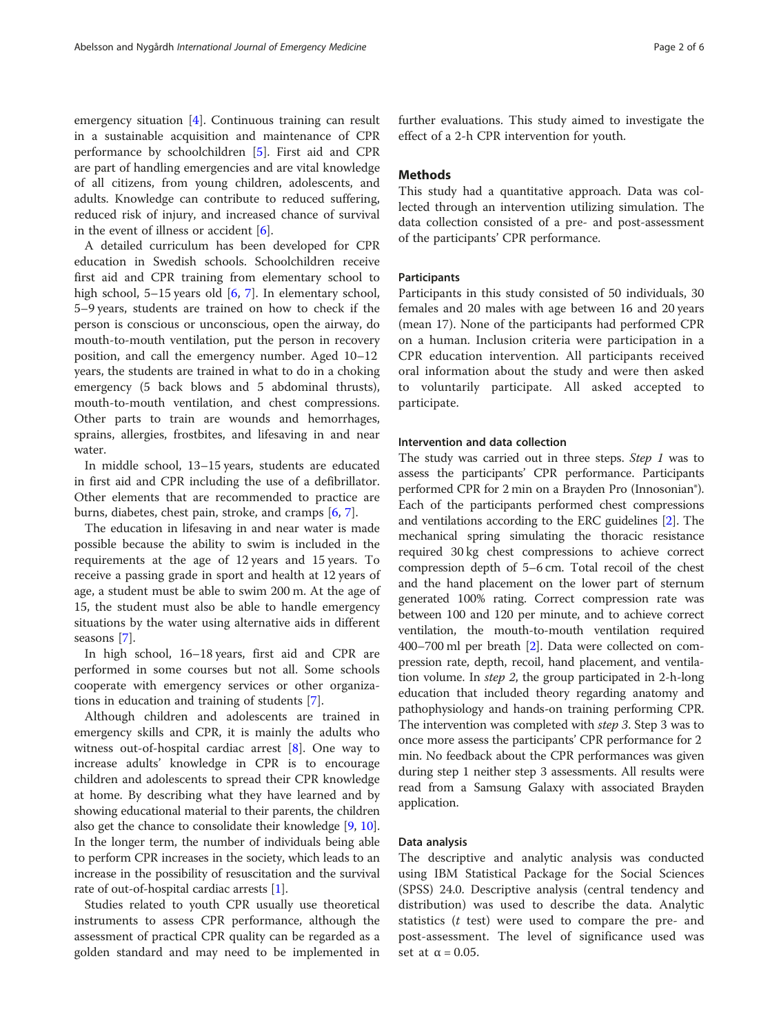emergency situation [\[4](#page-4-0)]. Continuous training can result in a sustainable acquisition and maintenance of CPR performance by schoolchildren [\[5](#page-4-0)]. First aid and CPR are part of handling emergencies and are vital knowledge of all citizens, from young children, adolescents, and adults. Knowledge can contribute to reduced suffering, reduced risk of injury, and increased chance of survival in the event of illness or accident [[6\]](#page-4-0).

A detailed curriculum has been developed for CPR education in Swedish schools. Schoolchildren receive first aid and CPR training from elementary school to high school, 5–15 years old [[6,](#page-4-0) [7](#page-4-0)]. In elementary school, 5–9 years, students are trained on how to check if the person is conscious or unconscious, open the airway, do mouth-to-mouth ventilation, put the person in recovery position, and call the emergency number. Aged 10–12 years, the students are trained in what to do in a choking emergency (5 back blows and 5 abdominal thrusts), mouth-to-mouth ventilation, and chest compressions. Other parts to train are wounds and hemorrhages, sprains, allergies, frostbites, and lifesaving in and near water.

In middle school, 13–15 years, students are educated in first aid and CPR including the use of a defibrillator. Other elements that are recommended to practice are burns, diabetes, chest pain, stroke, and cramps [[6,](#page-4-0) [7\]](#page-4-0).

The education in lifesaving in and near water is made possible because the ability to swim is included in the requirements at the age of 12 years and 15 years. To receive a passing grade in sport and health at 12 years of age, a student must be able to swim 200 m. At the age of 15, the student must also be able to handle emergency situations by the water using alternative aids in different seasons [\[7](#page-4-0)].

In high school, 16–18 years, first aid and CPR are performed in some courses but not all. Some schools cooperate with emergency services or other organizations in education and training of students [[7\]](#page-4-0).

Although children and adolescents are trained in emergency skills and CPR, it is mainly the adults who witness out-of-hospital cardiac arrest [\[8](#page-4-0)]. One way to increase adults' knowledge in CPR is to encourage children and adolescents to spread their CPR knowledge at home. By describing what they have learned and by showing educational material to their parents, the children also get the chance to consolidate their knowledge [[9,](#page-4-0) [10](#page-4-0)]. In the longer term, the number of individuals being able to perform CPR increases in the society, which leads to an increase in the possibility of resuscitation and the survival rate of out-of-hospital cardiac arrests [\[1](#page-4-0)].

Studies related to youth CPR usually use theoretical instruments to assess CPR performance, although the assessment of practical CPR quality can be regarded as a golden standard and may need to be implemented in

further evaluations. This study aimed to investigate the effect of a 2-h CPR intervention for youth.

## Methods

This study had a quantitative approach. Data was collected through an intervention utilizing simulation. The data collection consisted of a pre- and post-assessment of the participants' CPR performance.

## Participants

Participants in this study consisted of 50 individuals, 30 females and 20 males with age between 16 and 20 years (mean 17). None of the participants had performed CPR on a human. Inclusion criteria were participation in a CPR education intervention. All participants received oral information about the study and were then asked to voluntarily participate. All asked accepted to participate.

## Intervention and data collection

The study was carried out in three steps. Step 1 was to assess the participants' CPR performance. Participants performed CPR for 2 min on a Brayden Pro (Innosonian®). Each of the participants performed chest compressions and ventilations according to the ERC guidelines [\[2](#page-4-0)]. The mechanical spring simulating the thoracic resistance required 30 kg chest compressions to achieve correct compression depth of 5–6 cm. Total recoil of the chest and the hand placement on the lower part of sternum generated 100% rating. Correct compression rate was between 100 and 120 per minute, and to achieve correct ventilation, the mouth-to-mouth ventilation required 400–700 ml per breath [\[2\]](#page-4-0). Data were collected on compression rate, depth, recoil, hand placement, and ventilation volume. In step 2, the group participated in 2-h-long education that included theory regarding anatomy and pathophysiology and hands-on training performing CPR. The intervention was completed with step 3. Step 3 was to once more assess the participants' CPR performance for 2 min. No feedback about the CPR performances was given during step 1 neither step 3 assessments. All results were read from a Samsung Galaxy with associated Brayden application.

## Data analysis

The descriptive and analytic analysis was conducted using IBM Statistical Package for the Social Sciences (SPSS) 24.0. Descriptive analysis (central tendency and distribution) was used to describe the data. Analytic statistics  $(t$  test) were used to compare the pre- and post-assessment. The level of significance used was set at  $\alpha = 0.05$ .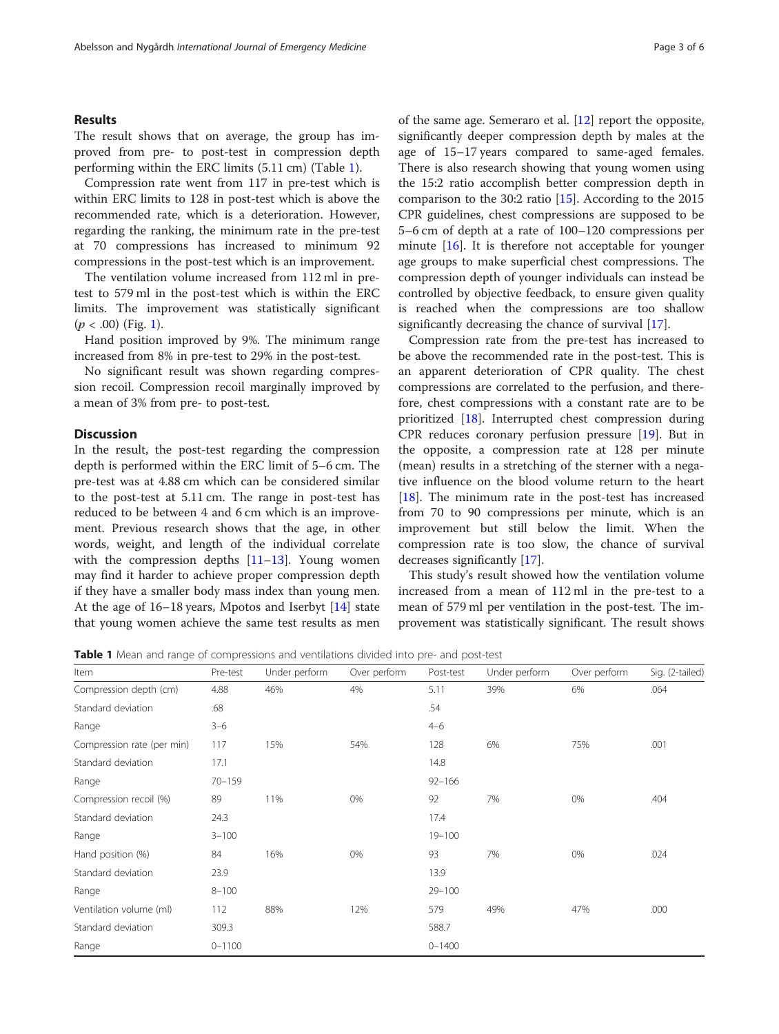## Results

The result shows that on average, the group has improved from pre- to post-test in compression depth performing within the ERC limits (5.11 cm) (Table 1).

Compression rate went from 117 in pre-test which is within ERC limits to 128 in post-test which is above the recommended rate, which is a deterioration. However, regarding the ranking, the minimum rate in the pre-test at 70 compressions has increased to minimum 92 compressions in the post-test which is an improvement.

The ventilation volume increased from 112 ml in pretest to 579 ml in the post-test which is within the ERC limits. The improvement was statistically significant  $(p < .00)$  (Fig. [1\)](#page-3-0).

Hand position improved by 9%. The minimum range increased from 8% in pre-test to 29% in the post-test.

No significant result was shown regarding compression recoil. Compression recoil marginally improved by a mean of 3% from pre- to post-test.

## **Discussion**

In the result, the post-test regarding the compression depth is performed within the ERC limit of 5–6 cm. The pre-test was at 4.88 cm which can be considered similar to the post-test at 5.11 cm. The range in post-test has reduced to be between 4 and 6 cm which is an improvement. Previous research shows that the age, in other words, weight, and length of the individual correlate with the compression depths  $[11–13]$  $[11–13]$  $[11–13]$  $[11–13]$  $[11–13]$ . Young women may find it harder to achieve proper compression depth if they have a smaller body mass index than young men. At the age of 16–18 years, Mpotos and Iserbyt [\[14](#page-4-0)] state that young women achieve the same test results as men of the same age. Semeraro et al. [[12\]](#page-4-0) report the opposite, significantly deeper compression depth by males at the age of 15–17 years compared to same-aged females. There is also research showing that young women using the 15:2 ratio accomplish better compression depth in comparison to the 30:2 ratio [[15\]](#page-4-0). According to the 2015 CPR guidelines, chest compressions are supposed to be 5–6 cm of depth at a rate of 100–120 compressions per minute [\[16](#page-4-0)]. It is therefore not acceptable for younger age groups to make superficial chest compressions. The compression depth of younger individuals can instead be controlled by objective feedback, to ensure given quality is reached when the compressions are too shallow significantly decreasing the chance of survival [[17\]](#page-4-0).

Compression rate from the pre-test has increased to be above the recommended rate in the post-test. This is an apparent deterioration of CPR quality. The chest compressions are correlated to the perfusion, and therefore, chest compressions with a constant rate are to be prioritized [[18](#page-4-0)]. Interrupted chest compression during CPR reduces coronary perfusion pressure [\[19\]](#page-4-0). But in the opposite, a compression rate at 128 per minute (mean) results in a stretching of the sterner with a negative influence on the blood volume return to the heart [[18\]](#page-4-0). The minimum rate in the post-test has increased from 70 to 90 compressions per minute, which is an improvement but still below the limit. When the compression rate is too slow, the chance of survival decreases significantly [[17\]](#page-4-0).

This study's result showed how the ventilation volume increased from a mean of 112 ml in the pre-test to a mean of 579 ml per ventilation in the post-test. The improvement was statistically significant. The result shows

Table 1 Mean and range of compressions and ventilations divided into pre- and post-test

| Item                       | Pre-test   | Under perform | Over perform | Post-test  | Under perform | Over perform | Sig. (2-tailed) |
|----------------------------|------------|---------------|--------------|------------|---------------|--------------|-----------------|
| Compression depth (cm)     | 4.88       | 46%           | 4%           | 5.11       | 39%           | 6%           | .064            |
| Standard deviation         | .68        |               |              | .54        |               |              |                 |
| Range                      | $3 - 6$    |               |              | $4 - 6$    |               |              |                 |
| Compression rate (per min) | 117        | 15%           | 54%          | 128        | 6%            | 75%          | .001            |
| Standard deviation         | 17.1       |               |              | 14.8       |               |              |                 |
| Range                      | $70 - 159$ |               |              | $92 - 166$ |               |              |                 |
| Compression recoil (%)     | 89         | 11%           | 0%           | 92         | 7%            | 0%           | .404            |
| Standard deviation         | 24.3       |               |              | 17.4       |               |              |                 |
| Range                      | $3 - 100$  |               |              | $19 - 100$ |               |              |                 |
| Hand position (%)          | 84         | 16%           | 0%           | 93         | 7%            | 0%           | .024            |
| Standard deviation         | 23.9       |               |              | 13.9       |               |              |                 |
| Range                      | $8 - 100$  |               |              | $29 - 100$ |               |              |                 |
| Ventilation volume (ml)    | 112        | 88%           | 12%          | 579        | 49%           | 47%          | .000            |
| Standard deviation         | 309.3      |               |              | 588.7      |               |              |                 |
| Range                      | $0 - 1100$ |               |              | $0 - 1400$ |               |              |                 |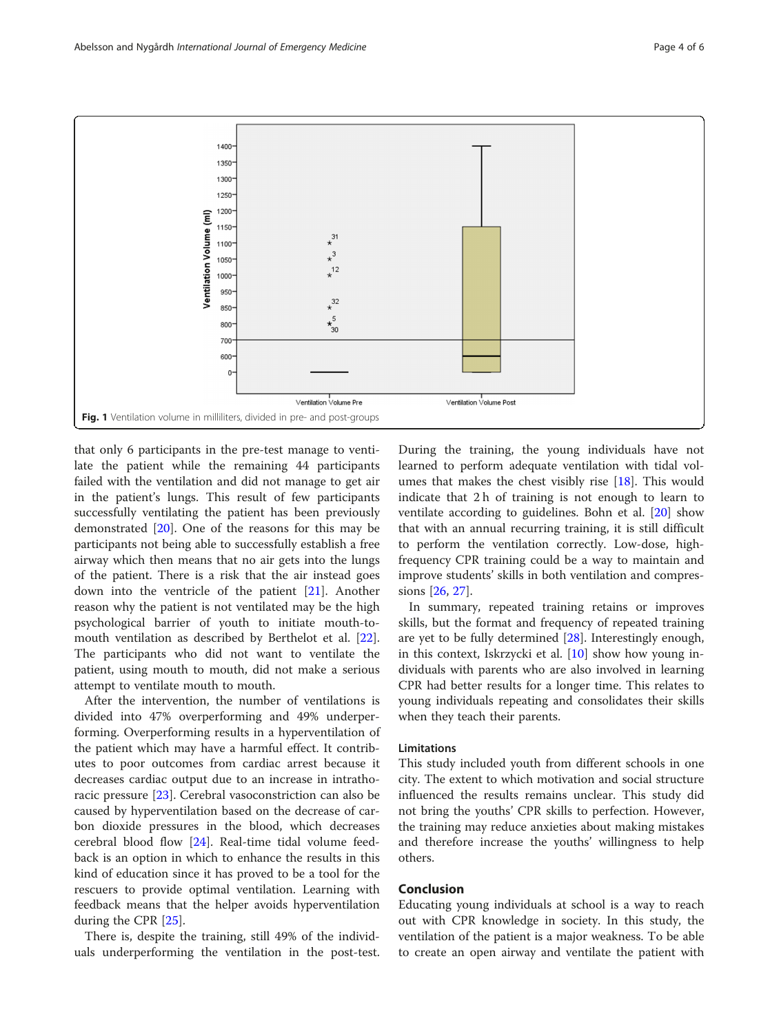<span id="page-3-0"></span>

that only 6 participants in the pre-test manage to ventilate the patient while the remaining 44 participants failed with the ventilation and did not manage to get air in the patient's lungs. This result of few participants successfully ventilating the patient has been previously demonstrated [\[20\]](#page-4-0). One of the reasons for this may be participants not being able to successfully establish a free airway which then means that no air gets into the lungs of the patient. There is a risk that the air instead goes down into the ventricle of the patient [[21](#page-4-0)]. Another reason why the patient is not ventilated may be the high psychological barrier of youth to initiate mouth-tomouth ventilation as described by Berthelot et al. [\[22](#page-4-0)]. The participants who did not want to ventilate the patient, using mouth to mouth, did not make a serious attempt to ventilate mouth to mouth.

After the intervention, the number of ventilations is divided into 47% overperforming and 49% underperforming. Overperforming results in a hyperventilation of the patient which may have a harmful effect. It contributes to poor outcomes from cardiac arrest because it decreases cardiac output due to an increase in intrathoracic pressure [[23](#page-4-0)]. Cerebral vasoconstriction can also be caused by hyperventilation based on the decrease of carbon dioxide pressures in the blood, which decreases cerebral blood flow [[24\]](#page-4-0). Real-time tidal volume feedback is an option in which to enhance the results in this kind of education since it has proved to be a tool for the rescuers to provide optimal ventilation. Learning with feedback means that the helper avoids hyperventilation during the CPR [[25](#page-4-0)].

There is, despite the training, still 49% of the individuals underperforming the ventilation in the post-test.

During the training, the young individuals have not learned to perform adequate ventilation with tidal volumes that makes the chest visibly rise [\[18](#page-4-0)]. This would indicate that 2 h of training is not enough to learn to ventilate according to guidelines. Bohn et al. [\[20](#page-4-0)] show that with an annual recurring training, it is still difficult to perform the ventilation correctly. Low-dose, highfrequency CPR training could be a way to maintain and improve students' skills in both ventilation and compressions [\[26](#page-5-0), [27](#page-5-0)].

In summary, repeated training retains or improves skills, but the format and frequency of repeated training are yet to be fully determined [[28\]](#page-5-0). Interestingly enough, in this context, Iskrzycki et al. [[10\]](#page-4-0) show how young individuals with parents who are also involved in learning CPR had better results for a longer time. This relates to young individuals repeating and consolidates their skills when they teach their parents.

## Limitations

This study included youth from different schools in one city. The extent to which motivation and social structure influenced the results remains unclear. This study did not bring the youths' CPR skills to perfection. However, the training may reduce anxieties about making mistakes and therefore increase the youths' willingness to help others.

## Conclusion

Educating young individuals at school is a way to reach out with CPR knowledge in society. In this study, the ventilation of the patient is a major weakness. To be able to create an open airway and ventilate the patient with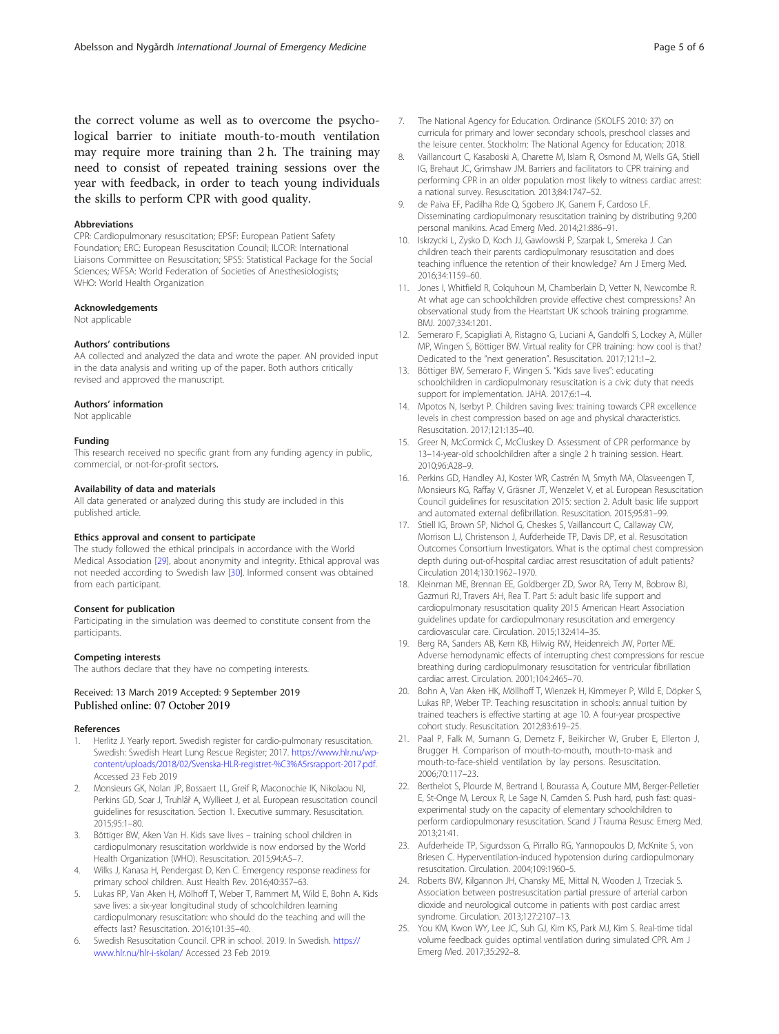<span id="page-4-0"></span>the correct volume as well as to overcome the psychological barrier to initiate mouth-to-mouth ventilation may require more training than 2 h. The training may need to consist of repeated training sessions over the year with feedback, in order to teach young individuals the skills to perform CPR with good quality.

#### Abbreviations

CPR: Cardiopulmonary resuscitation; EPSF: European Patient Safety Foundation; ERC: European Resuscitation Council; ILCOR: International Liaisons Committee on Resuscitation; SPSS: Statistical Package for the Social Sciences; WFSA: World Federation of Societies of Anesthesiologists; WHO: World Health Organization

#### Acknowledgements

Not applicable

#### Authors' contributions

AA collected and analyzed the data and wrote the paper. AN provided input in the data analysis and writing up of the paper. Both authors critically revised and approved the manuscript.

#### Authors' information

Not applicable

#### Funding

This research received no specific grant from any funding agency in public, commercial, or not-for-profit sectors.

#### Availability of data and materials

All data generated or analyzed during this study are included in this published article.

#### Ethics approval and consent to participate

The study followed the ethical principals in accordance with the World Medical Association [\[29](#page-5-0)], about anonymity and integrity. Ethical approval was not needed according to Swedish law [\[30\]](#page-5-0). Informed consent was obtained from each participant.

#### Consent for publication

Participating in the simulation was deemed to constitute consent from the participants.

#### Competing interests

The authors declare that they have no competing interests.

#### Received: 13 March 2019 Accepted: 9 September 2019 Published online: 07 October 2019

#### References

- Herlitz J. Yearly report. Swedish register for cardio-pulmonary resuscitation. Swedish: Swedish Heart Lung Rescue Register; 2017. [https://www.hlr.nu/wp](https://www.hlr.nu/wp-content/uploads/2018/02/Svenska-HLR-registret-%C3%A5rsrapport-2017.pdf)[content/uploads/2018/02/Svenska-HLR-registret-%C3%A5rsrapport-2017.pdf](https://www.hlr.nu/wp-content/uploads/2018/02/Svenska-HLR-registret-%C3%A5rsrapport-2017.pdf). Accessed 23 Feb 2019
- 2. Monsieurs GK, Nolan JP, Bossaert LL, Greif R, Maconochie IK, Nikolaou NI, Perkins GD, Soar J, Truhlář A, Wyllieet J, et al. European resuscitation council guidelines for resuscitation. Section 1. Executive summary. Resuscitation. 2015;95:1–80.
- 3. Böttiger BW, Aken Van H. Kids save lives training school children in cardiopulmonary resuscitation worldwide is now endorsed by the World Health Organization (WHO). Resuscitation. 2015;94:A5–7.
- 4. Wilks J, Kanasa H, Pendergast D, Ken C. Emergency response readiness for primary school children. Aust Health Rev. 2016;40:357–63.
- 5. Lukas RP, Van Aken H, Mölhoff T, Weber T, Rammert M, Wild E, Bohn A. Kids save lives: a six-year longitudinal study of schoolchildren learning cardiopulmonary resuscitation: who should do the teaching and will the effects last? Resuscitation. 2016;101:35–40.
- 6. Swedish Resuscitation Council. CPR in school. 2019. In Swedish. [https://](https://www.hlr.nu/hlr-i-skolan/) [www.hlr.nu/hlr-i-skolan/](https://www.hlr.nu/hlr-i-skolan/) Accessed 23 Feb 2019.
- 7. The National Agency for Education. Ordinance (SKOLFS 2010: 37) on curricula for primary and lower secondary schools, preschool classes and the leisure center. Stockholm: The National Agency for Education; 2018.
- 8. Vaillancourt C, Kasaboski A, Charette M, Islam R, Osmond M, Wells GA, Stiell IG, Brehaut JC, Grimshaw JM. Barriers and facilitators to CPR training and performing CPR in an older population most likely to witness cardiac arrest: a national survey. Resuscitation. 2013;84:1747–52.
- 9. de Paiva EF, Padilha Rde Q, Sgobero JK, Ganem F, Cardoso LF. Disseminating cardiopulmonary resuscitation training by distributing 9,200 personal manikins. Acad Emerg Med. 2014;21:886–91.
- 10. Iskrzycki L, Zysko D, Koch JJ, Gawlowski P, Szarpak L, Smereka J. Can children teach their parents cardiopulmonary resuscitation and does teaching influence the retention of their knowledge? Am J Emerg Med. 2016;34:1159–60.
- 11. Jones I, Whitfield R, Colquhoun M, Chamberlain D, Vetter N, Newcombe R. At what age can schoolchildren provide effective chest compressions? An observational study from the Heartstart UK schools training programme. BMJ. 2007;334:1201.
- 12. Semeraro F, Scapigliati A, Ristagno G, Luciani A, Gandolfi S, Lockey A, Müller MP, Wingen S, Böttiger BW. Virtual reality for CPR training: how cool is that? Dedicated to the "next generation". Resuscitation. 2017;121:1–2.
- 13. Böttiger BW, Semeraro F, Wingen S. "Kids save lives": educating schoolchildren in cardiopulmonary resuscitation is a civic duty that needs support for implementation. JAHA. 2017;6:1–4.
- 14. Mpotos N, Iserbyt P. Children saving lives: training towards CPR excellence levels in chest compression based on age and physical characteristics. Resuscitation. 2017;121:135–40.
- 15. Greer N, McCormick C, McCluskey D. Assessment of CPR performance by 13–14-year-old schoolchildren after a single 2 h training session. Heart. 2010;96:A28–9.
- 16. Perkins GD, Handley AJ, Koster WR, Castrén M, Smyth MA, Olasveengen T, Monsieurs KG, Raffay V, Gräsner JT, Wenzelet V, et al. European Resuscitation Council guidelines for resuscitation 2015: section 2. Adult basic life support and automated external defibrillation. Resuscitation. 2015;95:81–99.
- 17. Stiell IG, Brown SP, Nichol G, Cheskes S, Vaillancourt C, Callaway CW, Morrison LJ, Christenson J, Aufderheide TP, Davis DP, et al. Resuscitation Outcomes Consortium Investigators. What is the optimal chest compression depth during out-of-hospital cardiac arrest resuscitation of adult patients? Circulation 2014;130:1962–1970.
- 18. Kleinman ME, Brennan EE, Goldberger ZD, Swor RA, Terry M, Bobrow BJ, Gazmuri RJ, Travers AH, Rea T. Part 5: adult basic life support and cardiopulmonary resuscitation quality 2015 American Heart Association guidelines update for cardiopulmonary resuscitation and emergency cardiovascular care. Circulation. 2015;132:414–35.
- 19. Berg RA, Sanders AB, Kern KB, Hilwig RW, Heidenreich JW, Porter ME. Adverse hemodynamic effects of interrupting chest compressions for rescue breathing during cardiopulmonary resuscitation for ventricular fibrillation cardiac arrest. Circulation. 2001;104:2465–70.
- 20. Bohn A, Van Aken HK, Möllhoff T, Wienzek H, Kimmeyer P, Wild E, Döpker S, Lukas RP, Weber TP. Teaching resuscitation in schools: annual tuition by trained teachers is effective starting at age 10. A four-year prospective cohort study. Resuscitation. 2012;83:619–25.
- 21. Paal P, Falk M, Sumann G, Demetz F, Beikircher W, Gruber E, Ellerton J, Brugger H. Comparison of mouth-to-mouth, mouth-to-mask and mouth-to-face-shield ventilation by lay persons. Resuscitation. 2006;70:117–23.
- 22. Berthelot S, Plourde M, Bertrand I, Bourassa A, Couture MM, Berger-Pelletier E, St-Onge M, Leroux R, Le Sage N, Camden S. Push hard, push fast: quasiexperimental study on the capacity of elementary schoolchildren to perform cardiopulmonary resuscitation. Scand J Trauma Resusc Emerg Med. 2013;21:41.
- 23. Aufderheide TP, Sigurdsson G, Pirrallo RG, Yannopoulos D, McKnite S, von Briesen C. Hyperventilation-induced hypotension during cardiopulmonary resuscitation. Circulation. 2004;109:1960–5.
- 24. Roberts BW, Kilgannon JH, Chansky ME, Mittal N, Wooden J, Trzeciak S. Association between postresuscitation partial pressure of arterial carbon dioxide and neurological outcome in patients with post cardiac arrest syndrome. Circulation. 2013;127:2107–13.
- 25. You KM, Kwon WY, Lee JC, Suh GJ, Kim KS, Park MJ, Kim S. Real-time tidal volume feedback guides optimal ventilation during simulated CPR. Am J Emerg Med. 2017;35:292–8.